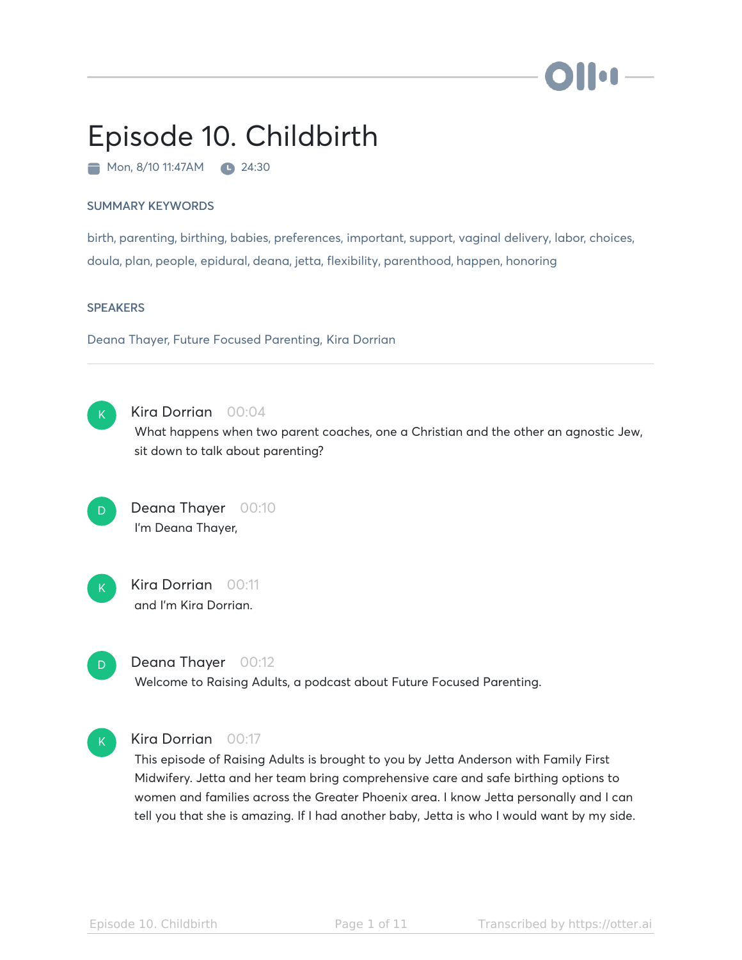

# Episode 10. Childbirth

 $\blacksquare$  Mon, 8/10 11:47AM  $\blacksquare$  24:30

#### SUMMARY KEYWORDS

birth, parenting, birthing, babies, preferences, important, support, vaginal delivery, labor, choices, doula, plan, people, epidural, deana, jetta, flexibility, parenthood, happen, honoring

#### **SPEAKERS**

Deana Thayer, Future Focused Parenting, Kira Dorrian



#### Kira Dorrian 00:04

What happens when two parent coaches, one a Christian and the other an agnostic Jew, sit down to talk about parenting?



# Deana Thayer 00:10 I'm Deana Thayer,



# Kira Dorrian 00:11 and I'm Kira Dorrian.



# Deana Thayer 00:12

Welcome to Raising Adults, a podcast about Future Focused Parenting.



#### Kira Dorrian 00:17

This episode of Raising Adults is brought to you by Jetta Anderson with Family First Midwifery. Jetta and her team bring comprehensive care and safe birthing options to women and families across the Greater Phoenix area. I know Jetta personally and I can tell you that she is amazing. If I had another baby, Jetta is who I would want by my side.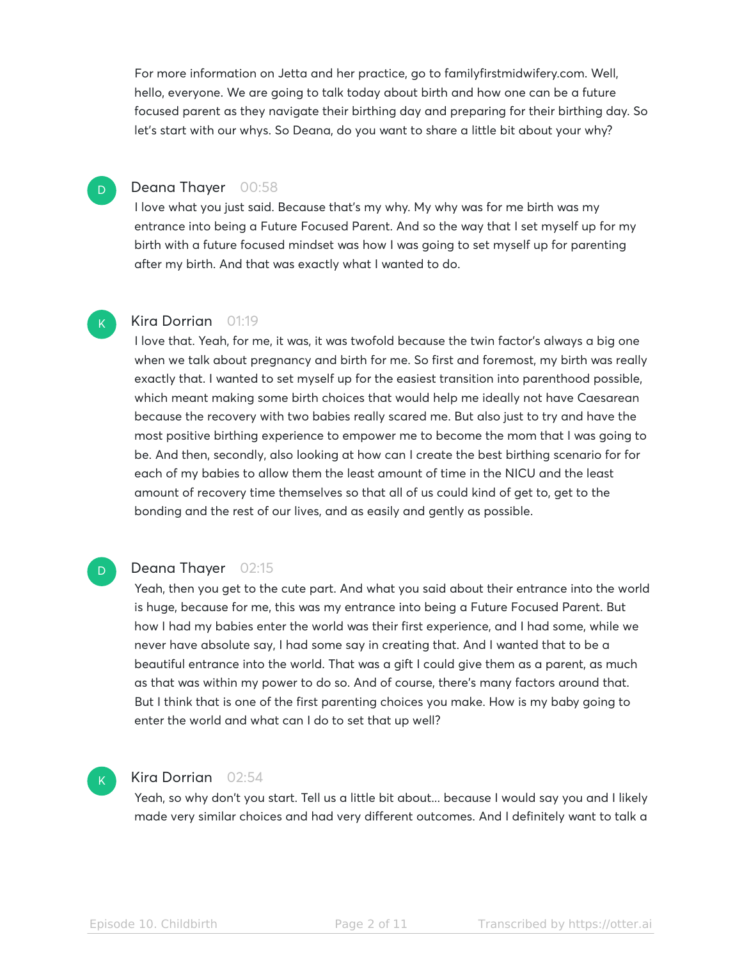For more information on Jetta and her practice, go to familyfirstmidwifery.com. Well, hello, everyone. We are going to talk today about birth and how one can be a future focused parent as they navigate their birthing day and preparing for their birthing day. So let's start with our whys. So Deana, do you want to share a little bit about your why?

## Deana Thayer 00:58

D

 $\mathsf{K}_{\scriptscriptstyle{+}}$ 

I love what you just said. Because that's my why. My why was for me birth was my entrance into being a Future Focused Parent. And so the way that I set myself up for my birth with a future focused mindset was how I was going to set myself up for parenting after my birth. And that was exactly what I wanted to do.

# Kira Dorrian 01:19

I love that. Yeah, for me, it was, it was twofold because the twin factor's always a big one when we talk about pregnancy and birth for me. So first and foremost, my birth was really exactly that. I wanted to set myself up for the easiest transition into parenthood possible, which meant making some birth choices that would help me ideally not have Caesarean because the recovery with two babies really scared me. But also just to try and have the most positive birthing experience to empower me to become the mom that I was going to be. And then, secondly, also looking at how can I create the best birthing scenario for for each of my babies to allow them the least amount of time in the NICU and the least amount of recovery time themselves so that all of us could kind of get to, get to the bonding and the rest of our lives, and as easily and gently as possible.

## Deana Thayer 02:15

Yeah, then you get to the cute part. And what you said about their entrance into the world is huge, because for me, this was my entrance into being a Future Focused Parent. But how I had my babies enter the world was their first experience, and I had some, while we never have absolute say, I had some say in creating that. And I wanted that to be a beautiful entrance into the world. That was a gift I could give them as a parent, as much as that was within my power to do so. And of course, there's many factors around that. But I think that is one of the first parenting choices you make. How is my baby going to enter the world and what can I do to set that up well?

 $\mathsf{K}_{\scriptscriptstyle{+}}$ 

D.

#### Kira Dorrian 02:54

Yeah, so why don't you start. Tell us a little bit about... because I would say you and I likely made very similar choices and had very different outcomes. And I definitely want to talk a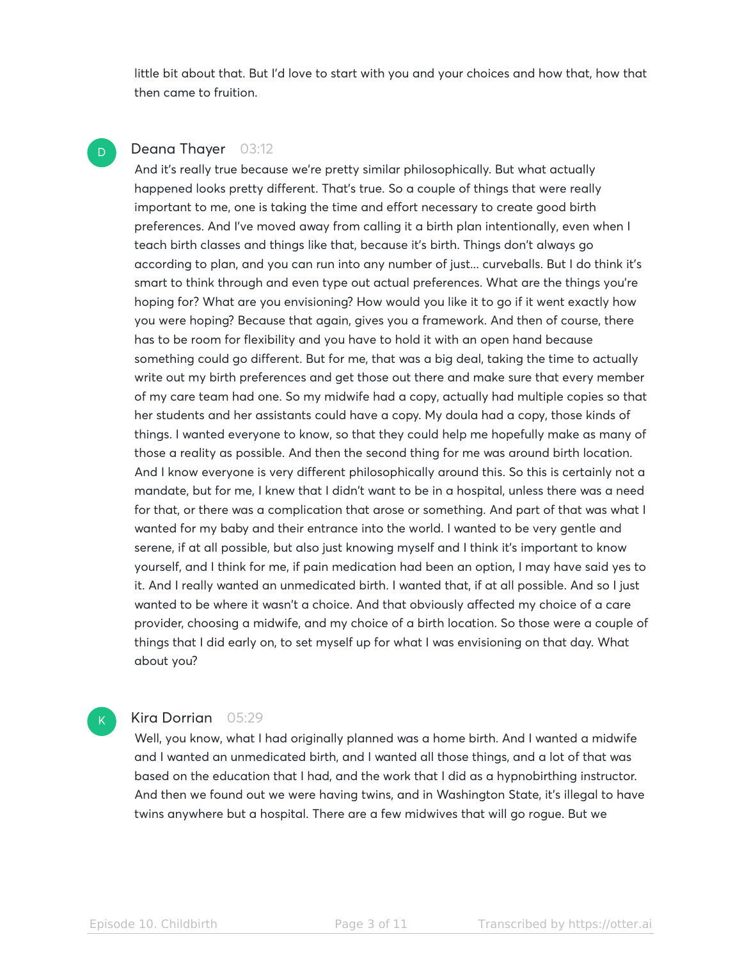little bit about that. But I'd love to start with you and your choices and how that, how that then came to fruition.

## Deana Thayer 03:12

D

And it's really true because we're pretty similar philosophically. But what actually happened looks pretty different. That's true. So a couple of things that were really important to me, one is taking the time and effort necessary to create good birth preferences. And I've moved away from calling it a birth plan intentionally, even when I teach birth classes and things like that, because it's birth. Things don't always go according to plan, and you can run into any number of just... curveballs. But I do think it's smart to think through and even type out actual preferences. What are the things you're hoping for? What are you envisioning? How would you like it to go if it went exactly how you were hoping? Because that again, gives you a framework. And then of course, there has to be room for flexibility and you have to hold it with an open hand because something could go different. But for me, that was a big deal, taking the time to actually write out my birth preferences and get those out there and make sure that every member of my care team had one. So my midwife had a copy, actually had multiple copies so that her students and her assistants could have a copy. My doula had a copy, those kinds of things. I wanted everyone to know, so that they could help me hopefully make as many of those a reality as possible. And then the second thing for me was around birth location. And I know everyone is very different philosophically around this. So this is certainly not a mandate, but for me, I knew that I didn't want to be in a hospital, unless there was a need for that, or there was a complication that arose or something. And part of that was what I wanted for my baby and their entrance into the world. I wanted to be very gentle and serene, if at all possible, but also just knowing myself and I think it's important to know yourself, and I think for me, if pain medication had been an option, I may have said yes to it. And I really wanted an unmedicated birth. I wanted that, if at all possible. And so I just wanted to be where it wasn't a choice. And that obviously affected my choice of a care provider, choosing a midwife, and my choice of a birth location. So those were a couple of things that I did early on, to set myself up for what I was envisioning on that day. What about you?

# $\mathsf{K}_{\scriptscriptstyle{+}}$

## Kira Dorrian 05:29

Well, you know, what I had originally planned was a home birth. And I wanted a midwife and I wanted an unmedicated birth, and I wanted all those things, and a lot of that was based on the education that I had, and the work that I did as a hypnobirthing instructor. And then we found out we were having twins, and in Washington State, it's illegal to have twins anywhere but a hospital. There are a few midwives that will go rogue. But we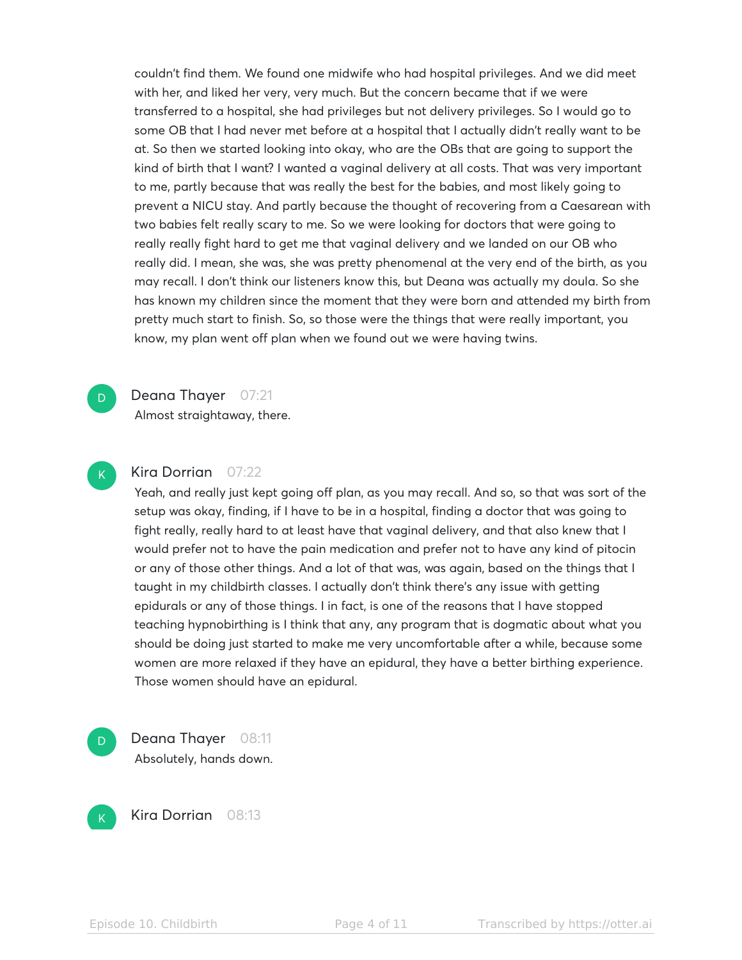couldn't find them. We found one midwife who had hospital privileges. And we did meet with her, and liked her very, very much. But the concern became that if we were transferred to a hospital, she had privileges but not delivery privileges. So I would go to some OB that I had never met before at a hospital that I actually didn't really want to be at. So then we started looking into okay, who are the OBs that are going to support the kind of birth that I want? I wanted a vaginal delivery at all costs. That was very important to me, partly because that was really the best for the babies, and most likely going to prevent a NICU stay. And partly because the thought of recovering from a Caesarean with two babies felt really scary to me. So we were looking for doctors that were going to really really fight hard to get me that vaginal delivery and we landed on our OB who really did. I mean, she was, she was pretty phenomenal at the very end of the birth, as you may recall. I don't think our listeners know this, but Deana was actually my doula. So she has known my children since the moment that they were born and attended my birth from pretty much start to finish. So, so those were the things that were really important, you know, my plan went off plan when we found out we were having twins.



# Deana Thayer 07:21

Almost straightaway, there.



#### Kira Dorrian 07:22

Yeah, and really just kept going off plan, as you may recall. And so, so that was sort of the setup was okay, finding, if I have to be in a hospital, finding a doctor that was going to fight really, really hard to at least have that vaginal delivery, and that also knew that I would prefer not to have the pain medication and prefer not to have any kind of pitocin or any of those other things. And a lot of that was, was again, based on the things that I taught in my childbirth classes. I actually don't think there's any issue with getting epidurals or any of those things. I in fact, is one of the reasons that I have stopped teaching hypnobirthing is I think that any, any program that is dogmatic about what you should be doing just started to make me very uncomfortable after a while, because some women are more relaxed if they have an epidural, they have a better birthing experience. Those women should have an epidural.





Kira Dorrian 08:13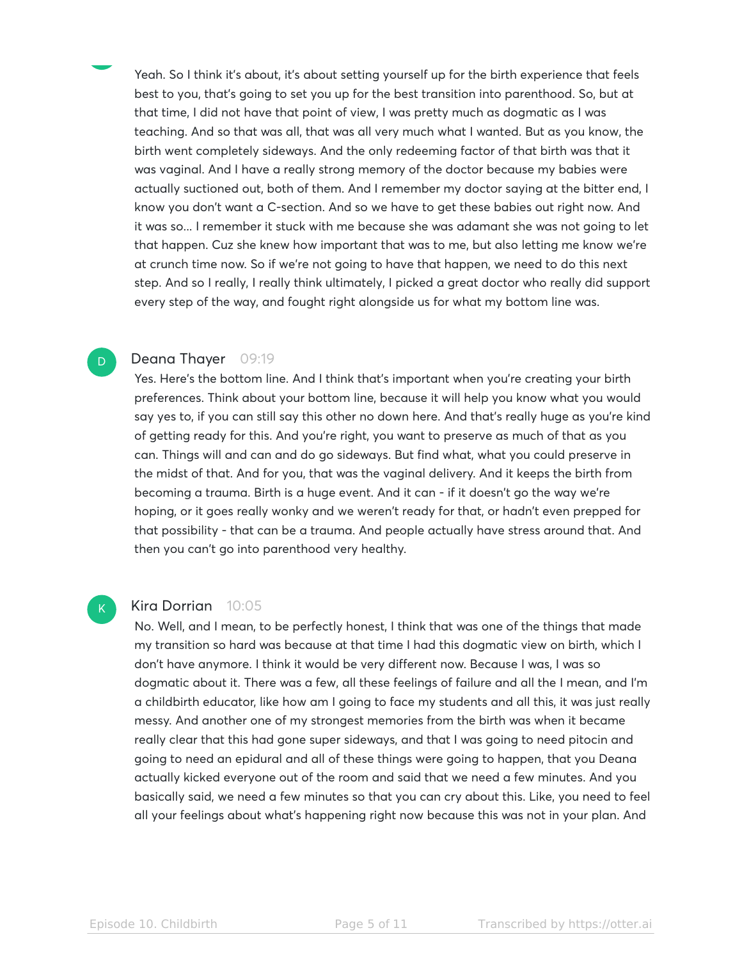Yeah. So I think it's about, it's about setting yourself up for the birth experience that feels best to you, that's going to set you up for the best transition into parenthood. So, but at that time, I did not have that point of view, I was pretty much as dogmatic as I was teaching. And so that was all, that was all very much what I wanted. But as you know, the birth went completely sideways. And the only redeeming factor of that birth was that it was vaginal. And I have a really strong memory of the doctor because my babies were actually suctioned out, both of them. And I remember my doctor saying at the bitter end, I know you don't want a C-section. And so we have to get these babies out right now. And it was so... I remember it stuck with me because she was adamant she was not going to let that happen. Cuz she knew how important that was to me, but also letting me know we're at crunch time now. So if we're not going to have that happen, we need to do this next step. And so I really, I really think ultimately, I picked a great doctor who really did support every step of the way, and fought right alongside us for what my bottom line was.

#### Deana Thayer 09:19

D

 $\mathsf{K}_{\scriptscriptstyle{+}}$ 

Yes. Here's the bottom line. And I think that's important when you're creating your birth preferences. Think about your bottom line, because it will help you know what you would say yes to, if you can still say this other no down here. And that's really huge as you're kind of getting ready for this. And you're right, you want to preserve as much of that as you can. Things will and can and do go sideways. But find what, what you could preserve in the midst of that. And for you, that was the vaginal delivery. And it keeps the birth from becoming a trauma. Birth is a huge event. And it can - if it doesn't go the way we're hoping, or it goes really wonky and we weren't ready for that, or hadn't even prepped for that possibility - that can be a trauma. And people actually have stress around that. And then you can't go into parenthood very healthy.

# Kira Dorrian 10:05

No. Well, and I mean, to be perfectly honest, I think that was one of the things that made my transition so hard was because at that time I had this dogmatic view on birth, which I don't have anymore. I think it would be very different now. Because I was, I was so dogmatic about it. There was a few, all these feelings of failure and all the I mean, and I'm a childbirth educator, like how am I going to face my students and all this, it was just really messy. And another one of my strongest memories from the birth was when it became really clear that this had gone super sideways, and that I was going to need pitocin and going to need an epidural and all of these things were going to happen, that you Deana actually kicked everyone out of the room and said that we need a few minutes. And you basically said, we need a few minutes so that you can cry about this. Like, you need to feel all your feelings about what's happening right now because this was not in your plan. And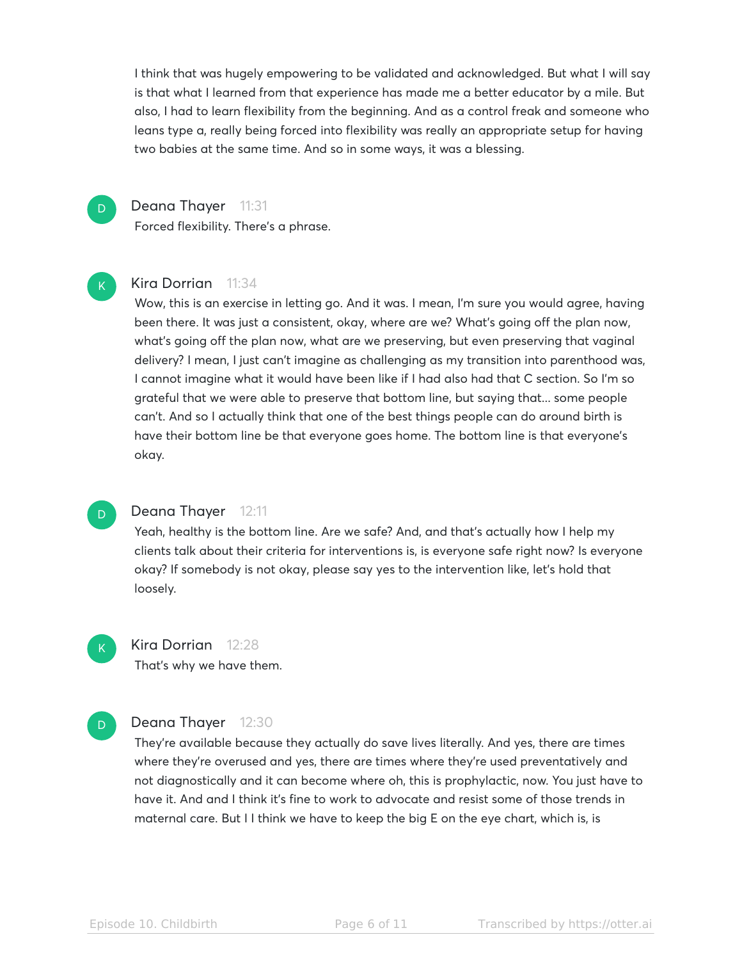I think that was hugely empowering to be validated and acknowledged. But what I will say is that what I learned from that experience has made me a better educator by a mile. But also, I had to learn flexibility from the beginning. And as a control freak and someone who leans type a, really being forced into flexibility was really an appropriate setup for having two babies at the same time. And so in some ways, it was a blessing.



 $\mathsf{K}_{\scriptscriptstyle{+}}$ 

#### Deana Thayer 11:31

Forced flexibility. There's a phrase.

# Kira Dorrian 11:34

Wow, this is an exercise in letting go. And it was. I mean, I'm sure you would agree, having been there. It was just a consistent, okay, where are we? What's going off the plan now, what's going off the plan now, what are we preserving, but even preserving that vaginal delivery? I mean, I just can't imagine as challenging as my transition into parenthood was, I cannot imagine what it would have been like if I had also had that C section. So I'm so grateful that we were able to preserve that bottom line, but saying that... some people can't. And so I actually think that one of the best things people can do around birth is have their bottom line be that everyone goes home. The bottom line is that everyone's okay.



K

#### Deana Thayer 12:11

Yeah, healthy is the bottom line. Are we safe? And, and that's actually how I help my clients talk about their criteria for interventions is, is everyone safe right now? Is everyone okay? If somebody is not okay, please say yes to the intervention like, let's hold that loosely.

# Kira Dorrian 12:28

That's why we have them.

#### Deana Thayer 12:30  $D$

They're available because they actually do save lives literally. And yes, there are times where they're overused and yes, there are times where they're used preventatively and not diagnostically and it can become where oh, this is prophylactic, now. You just have to have it. And and I think it's fine to work to advocate and resist some of those trends in maternal care. But I I think we have to keep the big E on the eye chart, which is, is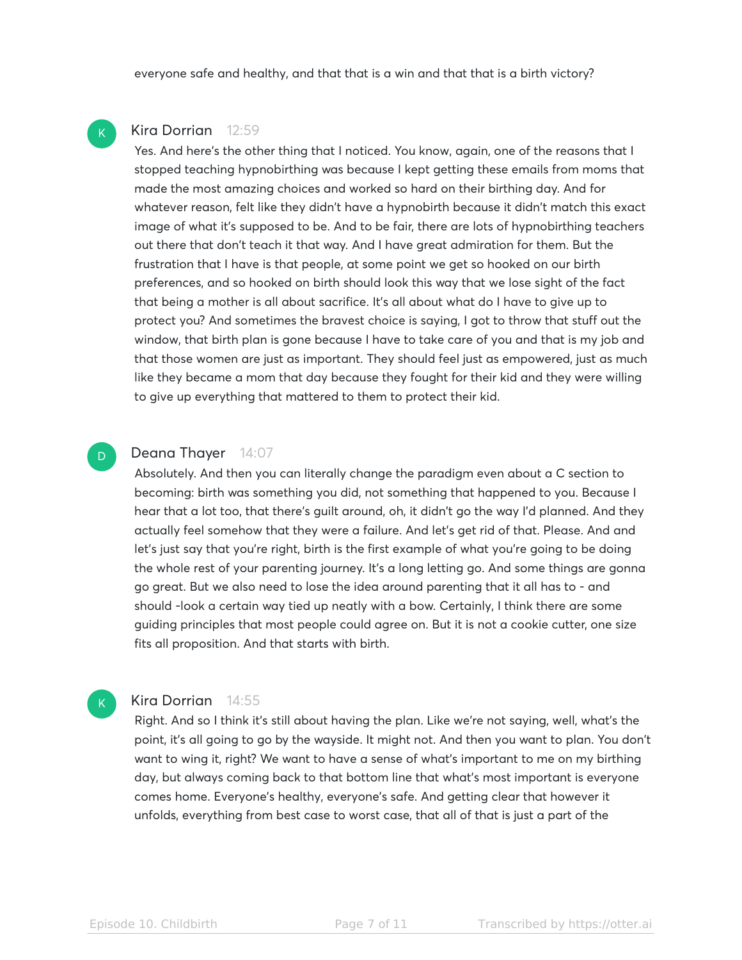everyone safe and healthy, and that that is a win and that that is a birth victory?

#### Kira Dorrian 12:59

Yes. And here's the other thing that I noticed. You know, again, one of the reasons that I stopped teaching hypnobirthing was because I kept getting these emails from moms that made the most amazing choices and worked so hard on their birthing day. And for whatever reason, felt like they didn't have a hypnobirth because it didn't match this exact image of what it's supposed to be. And to be fair, there are lots of hypnobirthing teachers out there that don't teach it that way. And I have great admiration for them. But the frustration that I have is that people, at some point we get so hooked on our birth preferences, and so hooked on birth should look this way that we lose sight of the fact that being a mother is all about sacrifice. It's all about what do I have to give up to protect you? And sometimes the bravest choice is saying, I got to throw that stuff out the window, that birth plan is gone because I have to take care of you and that is my job and that those women are just as important. They should feel just as empowered, just as much like they became a mom that day because they fought for their kid and they were willing to give up everything that mattered to them to protect their kid.

#### Deana Thayer 14:07 D

Absolutely. And then you can literally change the paradigm even about a C section to becoming: birth was something you did, not something that happened to you. Because I hear that a lot too, that there's guilt around, oh, it didn't go the way I'd planned. And they actually feel somehow that they were a failure. And let's get rid of that. Please. And and let's just say that you're right, birth is the first example of what you're going to be doing the whole rest of your parenting journey. It's a long letting go. And some things are gonna go great. But we also need to lose the idea around parenting that it all has to - and should -look a certain way tied up neatly with a bow. Certainly, I think there are some guiding principles that most people could agree on. But it is not a cookie cutter, one size fits all proposition. And that starts with birth.

#### Kira Dorrian 14:55

 $\mathsf{K}_{\scriptscriptstyle{+}}$ 

Right. And so I think it's still about having the plan. Like we're not saying, well, what's the point, it's all going to go by the wayside. It might not. And then you want to plan. You don't want to wing it, right? We want to have a sense of what's important to me on my birthing day, but always coming back to that bottom line that what's most important is everyone comes home. Everyone's healthy, everyone's safe. And getting clear that however it unfolds, everything from best case to worst case, that all of that is just a part of the

 $\mathsf{K}_{\scriptscriptstyle{+}}$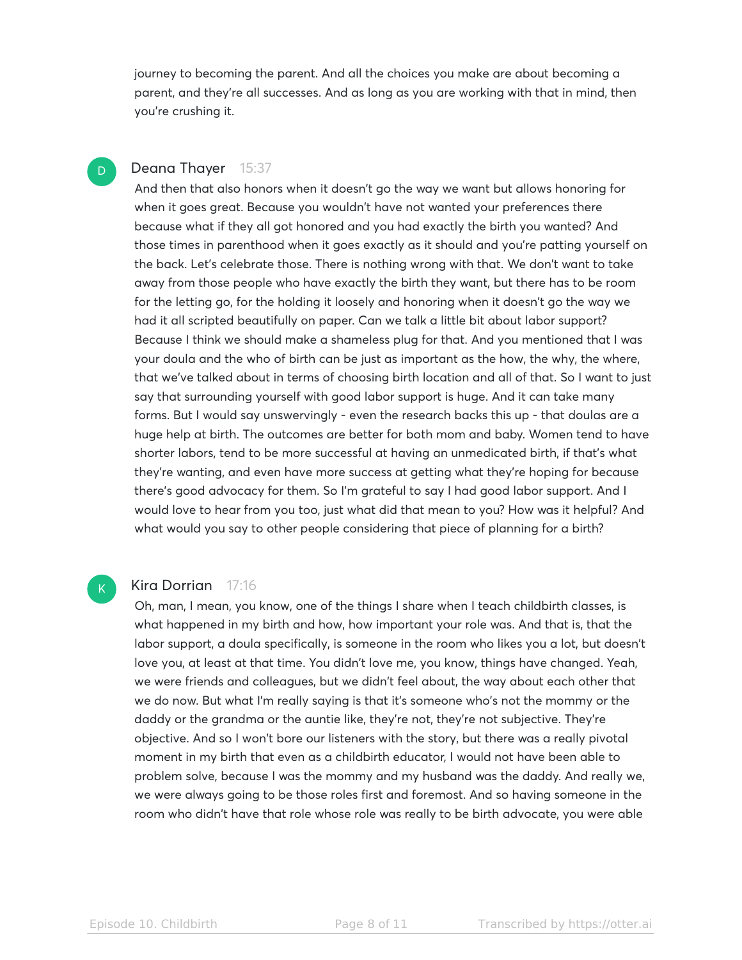journey to becoming the parent. And all the choices you make are about becoming a parent, and they're all successes. And as long as you are working with that in mind, then you're crushing it.

# Deana Thayer 15:37

D

 $\mathsf{K}_{\scriptscriptstyle{+}}$ 

And then that also honors when it doesn't go the way we want but allows honoring for when it goes great. Because you wouldn't have not wanted your preferences there because what if they all got honored and you had exactly the birth you wanted? And those times in parenthood when it goes exactly as it should and you're patting yourself on the back. Let's celebrate those. There is nothing wrong with that. We don't want to take away from those people who have exactly the birth they want, but there has to be room for the letting go, for the holding it loosely and honoring when it doesn't go the way we had it all scripted beautifully on paper. Can we talk a little bit about labor support? Because I think we should make a shameless plug for that. And you mentioned that I was your doula and the who of birth can be just as important as the how, the why, the where, that we've talked about in terms of choosing birth location and all of that. So I want to just say that surrounding yourself with good labor support is huge. And it can take many forms. But I would say unswervingly - even the research backs this up - that doulas are a huge help at birth. The outcomes are better for both mom and baby. Women tend to have shorter labors, tend to be more successful at having an unmedicated birth, if that's what they're wanting, and even have more success at getting what they're hoping for because there's good advocacy for them. So I'm grateful to say I had good labor support. And I would love to hear from you too, just what did that mean to you? How was it helpful? And what would you say to other people considering that piece of planning for a birth?

#### Kira Dorrian 17:16

Oh, man, I mean, you know, one of the things I share when I teach childbirth classes, is what happened in my birth and how, how important your role was. And that is, that the labor support, a doula specifically, is someone in the room who likes you a lot, but doesn't love you, at least at that time. You didn't love me, you know, things have changed. Yeah, we were friends and colleagues, but we didn't feel about, the way about each other that we do now. But what I'm really saying is that it's someone who's not the mommy or the daddy or the grandma or the auntie like, they're not, they're not subjective. They're objective. And so I won't bore our listeners with the story, but there was a really pivotal moment in my birth that even as a childbirth educator, I would not have been able to problem solve, because I was the mommy and my husband was the daddy. And really we, we were always going to be those roles first and foremost. And so having someone in the room who didn't have that role whose role was really to be birth advocate, you were able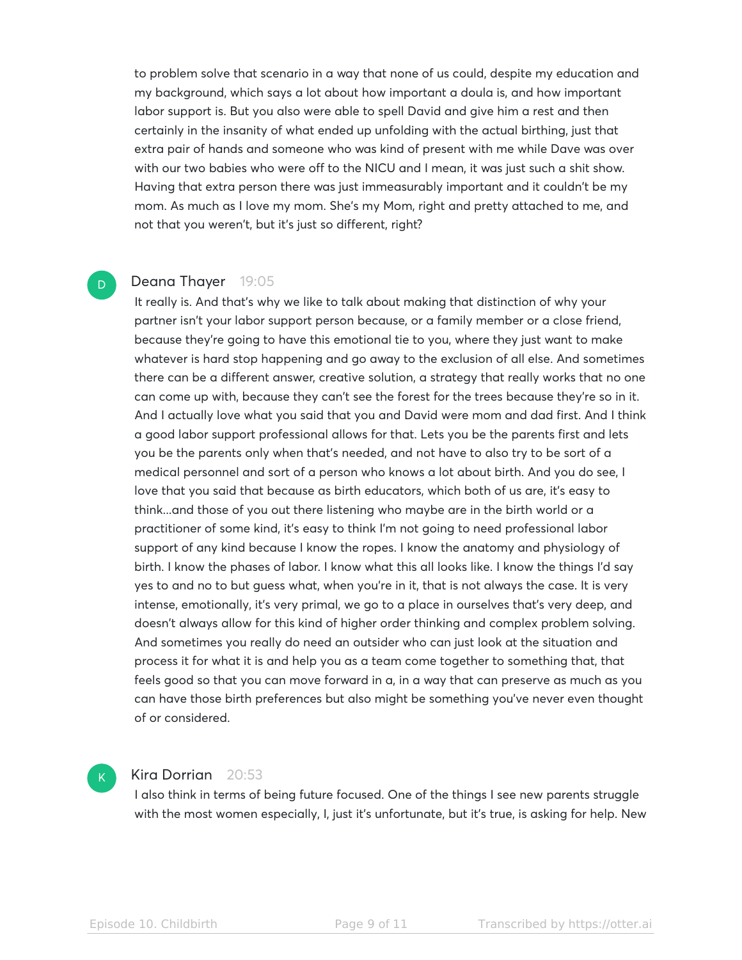to problem solve that scenario in a way that none of us could, despite my education and my background, which says a lot about how important a doula is, and how important labor support is. But you also were able to spell David and give him a rest and then certainly in the insanity of what ended up unfolding with the actual birthing, just that extra pair of hands and someone who was kind of present with me while Dave was over with our two babies who were off to the NICU and I mean, it was just such a shit show. Having that extra person there was just immeasurably important and it couldn't be my mom. As much as I love my mom. She's my Mom, right and pretty attached to me, and not that you weren't, but it's just so different, right?

#### Deana Thayer 19:05

D

It really is. And that's why we like to talk about making that distinction of why your partner isn't your labor support person because, or a family member or a close friend, because they're going to have this emotional tie to you, where they just want to make whatever is hard stop happening and go away to the exclusion of all else. And sometimes there can be a different answer, creative solution, a strategy that really works that no one can come up with, because they can't see the forest for the trees because they're so in it. And I actually love what you said that you and David were mom and dad first. And I think a good labor support professional allows for that. Lets you be the parents first and lets you be the parents only when that's needed, and not have to also try to be sort of a medical personnel and sort of a person who knows a lot about birth. And you do see, I love that you said that because as birth educators, which both of us are, it's easy to think...and those of you out there listening who maybe are in the birth world or a practitioner of some kind, it's easy to think I'm not going to need professional labor support of any kind because I know the ropes. I know the anatomy and physiology of birth. I know the phases of labor. I know what this all looks like. I know the things I'd say yes to and no to but guess what, when you're in it, that is not always the case. It is very intense, emotionally, it's very primal, we go to a place in ourselves that's very deep, and doesn't always allow for this kind of higher order thinking and complex problem solving. And sometimes you really do need an outsider who can just look at the situation and process it for what it is and help you as a team come together to something that, that feels good so that you can move forward in a, in a way that can preserve as much as you can have those birth preferences but also might be something you've never even thought of or considered.

## Kira Dorrian 20:53

I also think in terms of being future focused. One of the things I see new parents struggle with the most women especially, I, just it's unfortunate, but it's true, is asking for help. New

 $\mathsf{K}_{\scriptscriptstyle{+}}$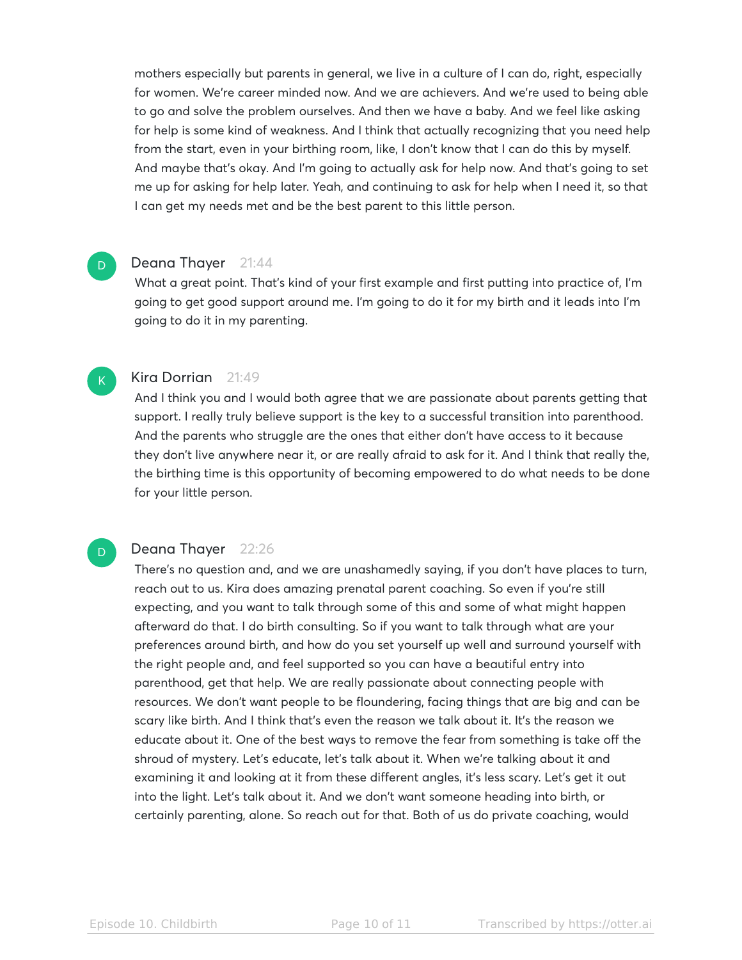mothers especially but parents in general, we live in a culture of I can do, right, especially for women. We're career minded now. And we are achievers. And we're used to being able to go and solve the problem ourselves. And then we have a baby. And we feel like asking for help is some kind of weakness. And I think that actually recognizing that you need help from the start, even in your birthing room, like, I don't know that I can do this by myself. And maybe that's okay. And I'm going to actually ask for help now. And that's going to set me up for asking for help later. Yeah, and continuing to ask for help when I need it, so that I can get my needs met and be the best parent to this little person.

#### Deana Thayer 21:44

D

K

D

What a great point. That's kind of your first example and first putting into practice of, I'm going to get good support around me. I'm going to do it for my birth and it leads into I'm going to do it in my parenting.

#### Kira Dorrian 21:49

And I think you and I would both agree that we are passionate about parents getting that support. I really truly believe support is the key to a successful transition into parenthood. And the parents who struggle are the ones that either don't have access to it because they don't live anywhere near it, or are really afraid to ask for it. And I think that really the, the birthing time is this opportunity of becoming empowered to do what needs to be done for your little person.

#### Deana Thayer 22:26

There's no question and, and we are unashamedly saying, if you don't have places to turn, reach out to us. Kira does amazing prenatal parent coaching. So even if you're still expecting, and you want to talk through some of this and some of what might happen afterward do that. I do birth consulting. So if you want to talk through what are your preferences around birth, and how do you set yourself up well and surround yourself with the right people and, and feel supported so you can have a beautiful entry into parenthood, get that help. We are really passionate about connecting people with resources. We don't want people to be floundering, facing things that are big and can be scary like birth. And I think that's even the reason we talk about it. It's the reason we educate about it. One of the best ways to remove the fear from something is take off the shroud of mystery. Let's educate, let's talk about it. When we're talking about it and examining it and looking at it from these different angles, it's less scary. Let's get it out into the light. Let's talk about it. And we don't want someone heading into birth, or certainly parenting, alone. So reach out for that. Both of us do private coaching, would